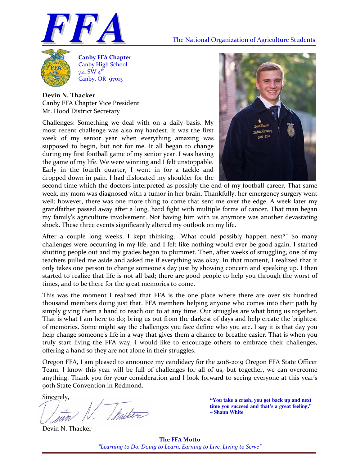



**Canby FFA Chapter** Canby High School 721 SW 4th  $Canby, OR$   $q7013$ 

**Devin N. Thacker** Canby FFA Chapter Vice President Mt. Hood District Secretary

Challenges: Something we deal with on a daily basis. My most recent challenge was also my hardest. It was the first week of my senior year when everything amazing was supposed to begin, but not for me. It all began to change during my first football game of my senior year. I was having the game of my life. We were winning and I felt unstoppable. Early in the fourth quarter, I went in for a tackle and dropped down in pain. I had dislocated my shoulder for the



second time which the doctors interpreted as possibly the end of my football career. That same week, my mom was diagnosed with a tumor in her brain. Thankfully, her emergency surgery went well; however, there was one more thing to come that sent me over the edge. A week later my grandfather passed away after a long, hard fight with multiple forms of cancer. That man began my family's agriculture involvement. Not having him with us anymore was another devastating shock. These three events significantly altered my outlook on my life.

After a couple long weeks, I kept thinking, "What could possibly happen next?" So many challenges were occurring in my life, and I felt like nothing would ever be good again. I started shutting people out and my grades began to plummet. Then, after weeks of struggling, one of my teachers pulled me aside and asked me if everything was okay. In that moment, I realized that it only takes one person to change someone's day just by showing concern and speaking up. I then started to realize that life is not all bad; there are good people to help you through the worst of times, and to be there for the great memories to come.

This was the moment I realized that FFA is the one place where there are over six hundred thousand members doing just that. FFA members helping anyone who comes into their path by simply giving them a hand to reach out to at any time. Our struggles are what bring us together. That is what I am here to do; bring us out from the darkest of days and help create the brightest of memories. Some might say the challenges you face define who you are. I say it is that day you help change someone's life in a way that gives them a chance to breathe easier. That is when you truly start living the FFA way. I would like to encourage others to embrace their challenges, offering a hand so they are not alone in their struggles.

Oregon FFA, I am pleased to announce my candidacy for the 2018‐2019 Oregon FFA State Officer Team. I know this year will be full of challenges for all of us, but together, we can overcome anything. Thank you for your consideration and I look forward to seeing everyone at this year's 90th State Convention in Redmond.

Sincerely,

Ihalter I come is.

Devin N. Thacker

**"You take a crash, you get back up and next time you succeed and that's a great feeling." – Shaun White** 

**The FFA Motto** *"Learning to Do, Doing to Learn, Earning to Live, Living to Serve"*